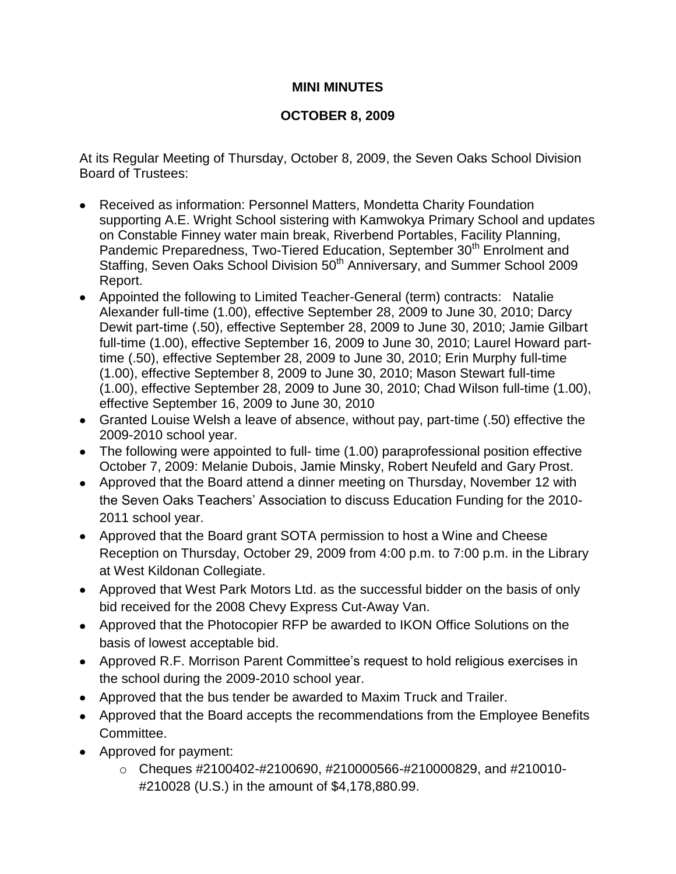## **MINI MINUTES**

## **OCTOBER 8, 2009**

At its Regular Meeting of Thursday, October 8, 2009, the Seven Oaks School Division Board of Trustees:

- Received as information: Personnel Matters, Mondetta Charity Foundation supporting A.E. Wright School sistering with Kamwokya Primary School and updates on Constable Finney water main break, Riverbend Portables, Facility Planning, Pandemic Preparedness, Two-Tiered Education, September 30<sup>th</sup> Enrolment and Staffing, Seven Oaks School Division 50<sup>th</sup> Anniversary, and Summer School 2009 Report.
- Appointed the following to Limited Teacher-General (term) contracts: Natalie Alexander full-time (1.00), effective September 28, 2009 to June 30, 2010; Darcy Dewit part-time (.50), effective September 28, 2009 to June 30, 2010; Jamie Gilbart full-time (1.00), effective September 16, 2009 to June 30, 2010; Laurel Howard parttime (.50), effective September 28, 2009 to June 30, 2010; Erin Murphy full-time (1.00), effective September 8, 2009 to June 30, 2010; Mason Stewart full-time (1.00), effective September 28, 2009 to June 30, 2010; Chad Wilson full-time (1.00), effective September 16, 2009 to June 30, 2010
- Granted Louise Welsh a leave of absence, without pay, part-time (.50) effective the 2009-2010 school year.
- The following were appointed to full- time (1.00) paraprofessional position effective October 7, 2009: Melanie Dubois, Jamie Minsky, Robert Neufeld and Gary Prost.
- Approved that the Board attend a dinner meeting on Thursday, November 12 with the Seven Oaks Teachers' Association to discuss Education Funding for the 2010- 2011 school year.
- Approved that the Board grant SOTA permission to host a Wine and Cheese Reception on Thursday, October 29, 2009 from 4:00 p.m. to 7:00 p.m. in the Library at West Kildonan Collegiate.
- Approved that West Park Motors Ltd. as the successful bidder on the basis of only bid received for the 2008 Chevy Express Cut-Away Van.
- Approved that the Photocopier RFP be awarded to IKON Office Solutions on the basis of lowest acceptable bid.
- Approved R.F. Morrison Parent Committee's request to hold religious exercises in the school during the 2009-2010 school year.
- Approved that the bus tender be awarded to Maxim Truck and Trailer.
- Approved that the Board accepts the recommendations from the Employee Benefits Committee.
- Approved for payment:
	- $\circ$  Cheques #2100402-#2100690, #210000566-#210000829, and #210010-#210028 (U.S.) in the amount of \$4,178,880.99.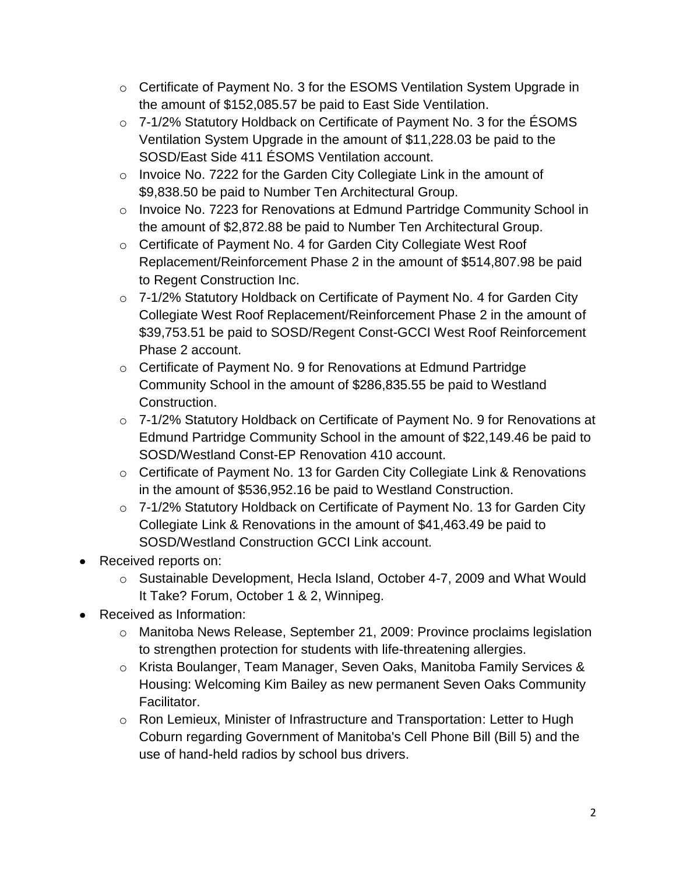- o Certificate of Payment No. 3 for the ESOMS Ventilation System Upgrade in the amount of \$152,085.57 be paid to East Side Ventilation.
- o 7-1/2% Statutory Holdback on Certificate of Payment No. 3 for the ÉSOMS Ventilation System Upgrade in the amount of \$11,228.03 be paid to the SOSD/East Side 411 ÉSOMS Ventilation account.
- o Invoice No. 7222 for the Garden City Collegiate Link in the amount of \$9,838.50 be paid to Number Ten Architectural Group.
- o Invoice No. 7223 for Renovations at Edmund Partridge Community School in the amount of \$2,872.88 be paid to Number Ten Architectural Group.
- o Certificate of Payment No. 4 for Garden City Collegiate West Roof Replacement/Reinforcement Phase 2 in the amount of \$514,807.98 be paid to Regent Construction Inc.
- o 7-1/2% Statutory Holdback on Certificate of Payment No. 4 for Garden City Collegiate West Roof Replacement/Reinforcement Phase 2 in the amount of \$39,753.51 be paid to SOSD/Regent Const-GCCI West Roof Reinforcement Phase 2 account.
- o Certificate of Payment No. 9 for Renovations at Edmund Partridge Community School in the amount of \$286,835.55 be paid to Westland Construction.
- o 7-1/2% Statutory Holdback on Certificate of Payment No. 9 for Renovations at Edmund Partridge Community School in the amount of \$22,149.46 be paid to SOSD/Westland Const-EP Renovation 410 account.
- o Certificate of Payment No. 13 for Garden City Collegiate Link & Renovations in the amount of \$536,952.16 be paid to Westland Construction.
- o 7-1/2% Statutory Holdback on Certificate of Payment No. 13 for Garden City Collegiate Link & Renovations in the amount of \$41,463.49 be paid to SOSD/Westland Construction GCCI Link account.
- Received reports on:
	- o Sustainable Development, Hecla Island, October 4-7, 2009 and What Would It Take? Forum, October 1 & 2, Winnipeg.
- Received as Information:
	- o Manitoba News Release, September 21, 2009: Province proclaims legislation to strengthen protection for students with life-threatening allergies.
	- o Krista Boulanger, Team Manager, Seven Oaks, Manitoba Family Services & Housing: Welcoming Kim Bailey as new permanent Seven Oaks Community Facilitator.
	- o Ron Lemieux, Minister of Infrastructure and Transportation: Letter to Hugh Coburn regarding Government of Manitoba's Cell Phone Bill (Bill 5) and the use of hand-held radios by school bus drivers.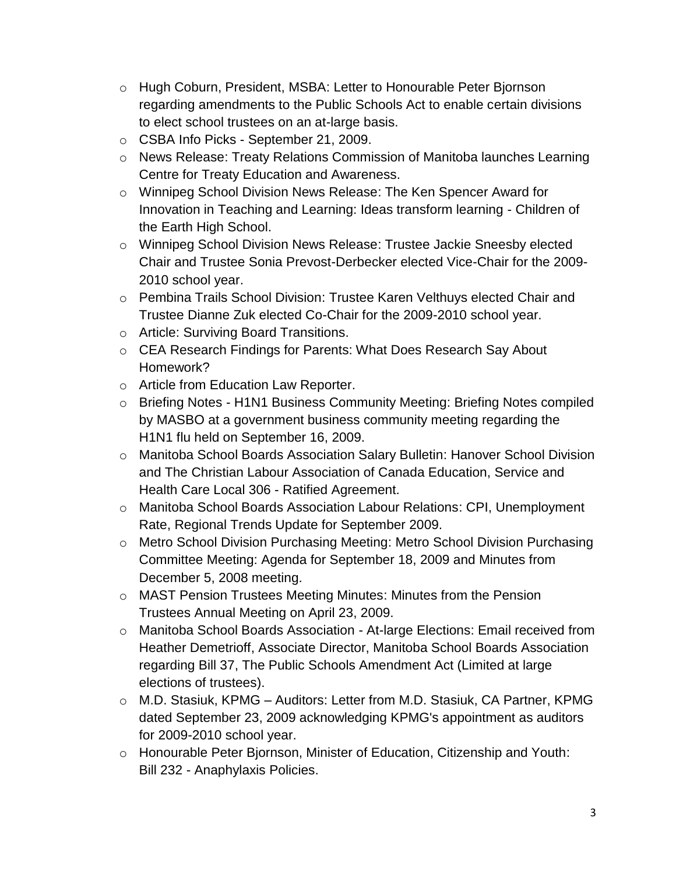- o Hugh Coburn, President, MSBA: Letter to Honourable Peter Bjornson regarding amendments to the Public Schools Act to enable certain divisions to elect school trustees on an at-large basis.
- o CSBA Info Picks September 21, 2009.
- o News Release: Treaty Relations Commission of Manitoba launches Learning Centre for Treaty Education and Awareness.
- o Winnipeg School Division News Release: The Ken Spencer Award for Innovation in Teaching and Learning: Ideas transform learning - Children of the Earth High School.
- o Winnipeg School Division News Release: Trustee Jackie Sneesby elected Chair and Trustee Sonia Prevost-Derbecker elected Vice-Chair for the 2009- 2010 school year.
- o Pembina Trails School Division: Trustee Karen Velthuys elected Chair and Trustee Dianne Zuk elected Co-Chair for the 2009-2010 school year.
- o Article: Surviving Board Transitions.
- o CEA Research Findings for Parents: What Does Research Say About Homework?
- o Article from Education Law Reporter.
- o Briefing Notes H1N1 Business Community Meeting: Briefing Notes compiled by MASBO at a government business community meeting regarding the H1N1 flu held on September 16, 2009.
- o Manitoba School Boards Association Salary Bulletin: Hanover School Division and The Christian Labour Association of Canada Education, Service and Health Care Local 306 - Ratified Agreement.
- o Manitoba School Boards Association Labour Relations: CPI, Unemployment Rate, Regional Trends Update for September 2009.
- o Metro School Division Purchasing Meeting: Metro School Division Purchasing Committee Meeting: Agenda for September 18, 2009 and Minutes from December 5, 2008 meeting.
- o MAST Pension Trustees Meeting Minutes: Minutes from the Pension Trustees Annual Meeting on April 23, 2009.
- o Manitoba School Boards Association At-large Elections: Email received from Heather Demetrioff, Associate Director, Manitoba School Boards Association regarding Bill 37, The Public Schools Amendment Act (Limited at large elections of trustees).
- o M.D. Stasiuk, KPMG Auditors: Letter from M.D. Stasiuk, CA Partner, KPMG dated September 23, 2009 acknowledging KPMG's appointment as auditors for 2009-2010 school year.
- o Honourable Peter Bjornson, Minister of Education, Citizenship and Youth: Bill 232 - Anaphylaxis Policies.